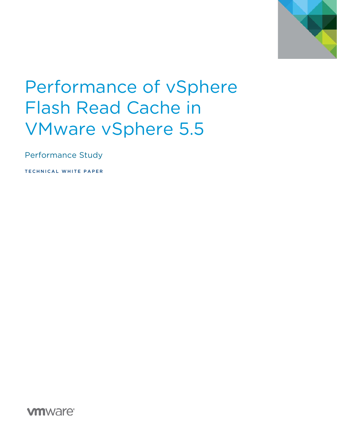

# Performance of vSphere Flash Read Cache in VMware vSphere 5.5

Performance Study

TECHNICAL WHITE PAPER

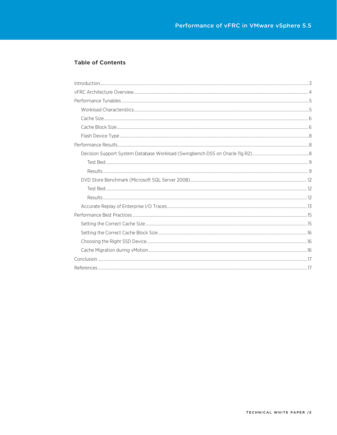### **Table of Contents**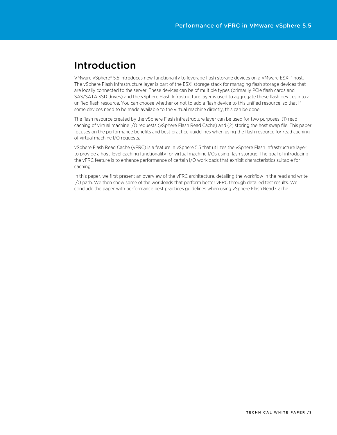# Introduction

VMware vSphere® 5.5 introduces new functionality to leverage flash storage devices on a VMware ESXi™ host. The vSphere Flash Infrastructure layer is part of the ESXi storage stack for managing flash storage devices that are locally connected to the server. These devices can be of multiple types (primarily PCIe flash cards and SAS/SATA SSD drives) and the vSphere Flash Infrastructure layer is used to aggregate these flash devices into a unified flash resource. You can choose whether or not to add a flash device to this unified resource, so that if some devices need to be made available to the virtual machine directly, this can be done.

The flash resource created by the vSphere Flash Infrastructure layer can be used for two purposes: (1) read caching of virtual machine I/O requests (vSphere Flash Read Cache) and (2) storing the host swap file. This paper focuses on the performance benefits and best practice guidelines when using the flash resource for read caching of virtual machine I/O requests.

vSphere Flash Read Cache (vFRC) is a feature in vSphere 5.5 that utilizes the vSphere Flash Infrastructure layer to provide a host-level caching functionality for virtual machine I/Os using flash storage. The goal of introducing the vFRC feature is to enhance performance of certain I/O workloads that exhibit characteristics suitable for caching.

In this paper, we first present an overview of the vFRC architecture, detailing the workflow in the read and write I/O path. We then show some of the workloads that perform better vFRC through detailed test results. We conclude the paper with performance best practices guidelines when using vSphere Flash Read Cache.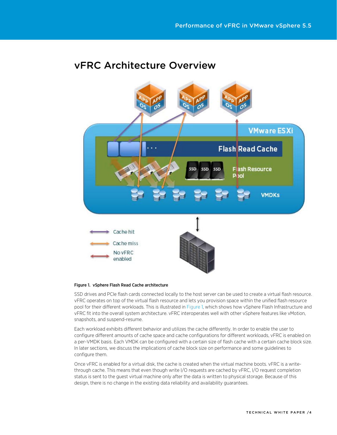# vFRC Architecture Overview

<span id="page-3-0"></span>

#### Figure 1. vSphere Flash Read Cache architecture

SSD drives and PCIe flash cards connected locally to the host server can be used to create a virtual flash resource. vFRC operates on top of the virtual flash resource and lets you provision space within the unified flash resource pool for their different workloads. This is illustrated i[n Figure 1,](#page-3-0) which shows how vSphere Flash Infrastructure and vFRC fit into the overall system architecture. vFRC interoperates well with other vSphere features like vMotion, snapshots, and suspend-resume.

Each workload exhibits different behavior and utilizes the cache differently. In order to enable the user to configure different amounts of cache space and cache configurations for different workloads, vFRC is enabled on a per-VMDK basis. Each VMDK can be configured with a certain size of flash cache with a certain cache block size. In later sections, we discuss the implications of cache block size on performance and some guidelines to configure them.

Once vFRC is enabled for a virtual disk, the cache is created when the virtual machine boots. vFRC is a writethrough cache. This means that even though write I/O requests are cached by vFRC, I/O request completion status is sent to the guest virtual machine only after the data is written to physical storage. Because of this design, there is no change in the existing data reliability and availability guarantees.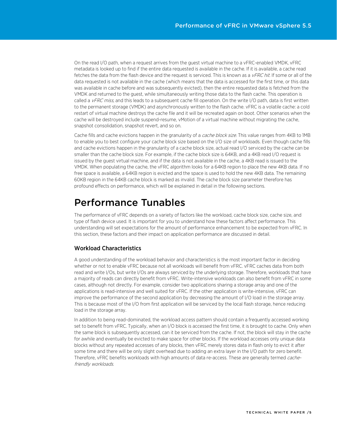On the read I/O path, when a request arrives from the guest virtual machine to a vFRC-enabled VMDK, vFRC metadata is looked up to find if the entire data requested is available in the cache. If it is available, a cache read fetches the data from the flash device and the request is serviced. This is known as a  $v$ FRC hit. If some or all of the data requested is not available in the cache (which means that the data is accessed for the first time, or this data was available in cache before and was subsequently evicted), then the entire requested data is fetched from the VMDK and returned to the guest, while simultaneously writing those data to the flash cache. This operation is called a  $v$ FRC miss, and this leads to a subsequent cache fill operation. On the write I/O path, data is first written to the permanent storage (VMDK) and asynchronously written to the flash cache. vFRC is a volatile cache: a cold restart of virtual machine destroys the cache file and it will be recreated again on boot. Other scenarios when the cache will be destroyed include suspend-resume, vMotion of a virtual machine without migrating the cache, snapshot consolidation, snapshot revert, and so on.

Cache fills and cache evictions happen in the granularity of a cache block size. This value ranges from 4KB to 1MB to enable you to best configure your cache block size based on the I/O size of workloads. Even though cache fills and cache evictions happen in the granularity of a cache block size, actual read I/O serviced by the cache can be smaller than the cache block size. For example, if the cache block size is 64KB, and a 4KB read I/O request is issued by the guest virtual machine, and if the data is not available in the cache, a 4KB read is issued to the VMDK. When populating the cache, the vFRC algorithm looks for a 64KB region to place the new 4KB data. If no free space is available, a 64KB region is evicted and the space is used to hold the new 4KB data. The remaining 60KB region in the 64KB cache block is marked as invalid. The cache block size parameter therefore has profound effects on performance, which will be explained in detail in the following sections.

# <span id="page-4-0"></span>Performance Tunables

The performance of vFRC depends on a variety of factors like the workload, cache block size, cache size, and type of flash device used. It is important for you to understand how these factors affect performance. This understanding will set expectations for the amount of performance enhancement to be expected from vFRC. In this section, these factors and their impact on application performance are discussed in detail.

# Workload Characteristics

A good understanding of the workload behavior and characteristics is the most important factor in deciding whether or not to enable vFRC because not all workloads will benefit from vFRC. vFRC caches data from both read and write I/Os, but write I/Os are always serviced by the underlying storage. Therefore, workloads that have a majority of reads can directly benefit from vFRC. Write-intensive workloads can also benefit from vFRC in some cases, although not directly. For example, consider two applications sharing a storage array and one of the applications is read-intensive and well suited for vFRC. If the other application is write-intensive, vFRC can improve the performance of the second application by decreasing the amount of I/O load in the storage array. This is because most of the I/O from first application will be serviced by the local flash storage, hence reducing load in the storage array.

In addition to being read-dominated, the workload access pattern should contain a frequently accessed working set to benefit from vFRC. Typically, when an I/O block is accessed the first time, it is brought to cache. Only when the same block is subsequently accessed, can it be serviced from the cache. If not, the block will stay in the cache for awhile and eventually be evicted to make space for other blocks. If the workload accesses only unique data blocks without any repeated accesses of any blocks, then vFRC merely stores data in flash only to evict it after some time and there will be only slight overhead due to adding an extra layer in the I/O path for zero benefit. Therefore, vFRC benefits workloads with high amounts of data re-access. These are generally termed *cache*friendly workloads.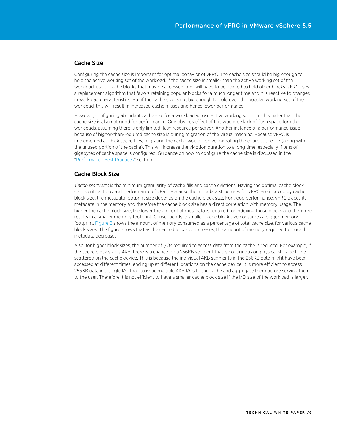### Cache Size

Configuring the cache size is important for optimal behavior of vFRC. The cache size should be big enough to hold the active working set of the workload. If the cache size is smaller than the active working set of the workload, useful cache blocks that may be accessed later will have to be evicted to hold other blocks. vFRC uses a replacement algorithm that favors retaining popular blocks for a much longer time and it is reactive to changes in workload characteristics. But if the cache size is not big enough to hold even the popular working set of the workload, this will result in increased cache misses and hence lower performance.

However, configuring abundant cache size for a workload whose active working set is much smaller than the cache size is also not good for performance. One obvious effect of this would be lack of flash space for other workloads, assuming there is only limited flash resource per server. Another instance of a performance issue because of higher-than-required cache size is during migration of the virtual machine. Because vFRC is implemented as thick cache files, migrating the cache would involve migrating the entire cache file (along with the unused portion of the cache). This will increase the vMotion duration to a long time, especially if tens of gigabytes of cache space is configured. Guidance on how to configure the cache size is discussed in the ["Performance Best Practices"](#page-14-0) section.

#### Cache Block Size

Cache block size is the minimum granularity of cache fills and cache evictions. Having the optimal cache block size is critical to overall performance of vFRC. Because the metadata structures for vFRC are indexed by cache block size, the metadata footprint size depends on the cache block size. For good performance, vFRC places its metadata in the memory and therefore the cache block size has a direct correlation with memory usage. The higher the cache block size, the lower the amount of metadata is required for indexing those blocks and therefore results in a smaller memory footprint. Consequently, a smaller cache block size consumes a bigger memory footprint. [Figure 2](#page-6-0) shows the amount of memory consumed as a percentage of total cache size, for various cache block sizes. The figure shows that as the cache block size increases, the amount of memory required to store the metadata decreases.

Also, for higher block sizes, the number of I/Os required to access data from the cache is reduced. For example, if the cache block size is 4KB, there is a chance for a 256KB segment that is contiguous on physical storage to be scattered on the cache device. This is because the individual 4KB segments in the 256KB data might have been accessed at different times, ending up at different locations on the cache device. It is more efficient to access 256KB data in a single I/O than to issue multiple 4KB I/Os to the cache and aggregate them before serving them to the user. Therefore it is not efficient to have a smaller cache block size if the I/O size of the workload is larger.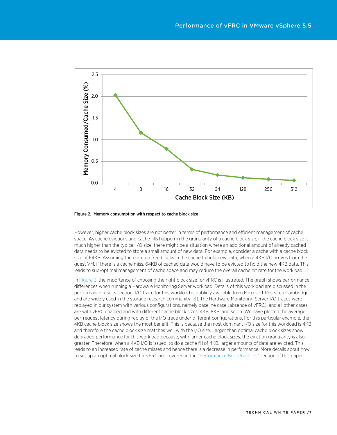<span id="page-6-0"></span>

Figure 2. Memory consumption with respect to cache block size

However, higher cache block sizes are not better in terms of performance and efficient management of cache space. As cache evictions and cache fills happen in the granularity of a cache block size, if the cache block size is much higher than the typical I/O size, there might be a situation where an additional amount of already cached data needs to be evicted to store a small amount of new data. For example, consider a cache with a cache block size of 64KB. Assuming there are no free blocks in the cache to hold new data, when a 4KB I/O arrives from the guest VM, if there is a cache miss, 64KB of cached data would have to be evicted to hold the new 4KB data. This leads to sub-optimal management of cache space and may reduce the overall cache hit rate for the workload.

In [Figure 3,](#page-7-0) the importance of choosing the right block size for vFRC is illustrated. The graph shows performance differences when running a Hardware Monitoring Server workload. Details of this workload are discussed in the performance results section. I/O trace for this workload is publicly available from Microsoft Research Cambridge and are widely used in the storage research communit[y \[8\].](#page-16-0) The Hardware Monitoring Server I/O traces were replayed in our system with various configurations, namely baseline case (absence of vFRC), and all other cases are with vFRC enabled and with different cache block sizes: 4KB, 8KB, and so on. We have plotted the average per-request latency during replay of the I/O trace under different configurations. For this particular example, the 4KB cache block size shows the most benefit. This is because the most dominant I/O size for this workload is 4KB and therefore the cache block size matches well with the I/O size. Larger than optimal cache block sizes show degraded performance for this workload because, with larger cache block sizes, the eviction granularity is also greater. Therefore, when a 4KB I/O is issued, to do a cache fill of 4KB, larger amounts of data are evicted. This leads to an increased rate of cache misses and hence there is a decrease in performance. More details about how to set up an optimal block size for vFRC are covered in the ["Performance Best Practices"](#page-14-0) section of this paper.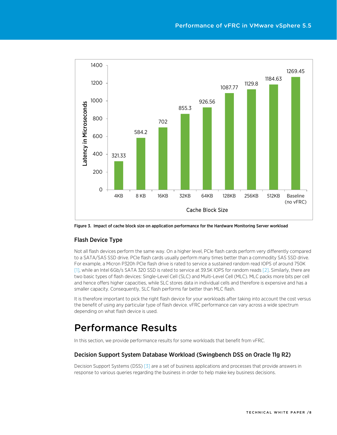<span id="page-7-0"></span>

Figure 3. Impact of cache block size on application performance for the Hardware Monitoring Server workload

### Flash Device Type

Not all flash devices perform the same way. On a higher level, PCIe flash cards perform very differently compared to a SATA/SAS SSD drive. PCIe flash cards usually perform many times better than a commodity SAS SSD drive. For example, a Micron P320h PCIe flash drive is rated to service a sustained random read IOPS of around 750K [\[1\],](#page-16-0) while an Intel 6Gb/s SATA 320 SSD is rated to service at 39.5K IOPS for random read[s \[2\].](#page-14-0) Similarly, there are two basic types of flash devices: Single-Level Cell (SLC) and Multi-Level Cell (MLC). MLC packs more bits per cell and hence offers higher capacities, while SLC stores data in individual cells and therefore is expensive and has a smaller capacity. Consequently, SLC flash performs far better than MLC flash.

It is therefore important to pick the right flash device for your workloads after taking into account the cost versus the benefit of using any particular type of flash device. vFRC performance can vary across a wide spectrum depending on what flash device is used.

# Performance Results

In this section, we provide performance results for some workloads that benefit from vFRC.

#### Decision Support System Database Workload (Swingbench DSS on Oracle 11g R2)

Decision Support Systems (DSS[\) \[3\]](#page-16-0) are a set of business applications and processes that provide answers in response to various queries regarding the business in order to help make key business decisions.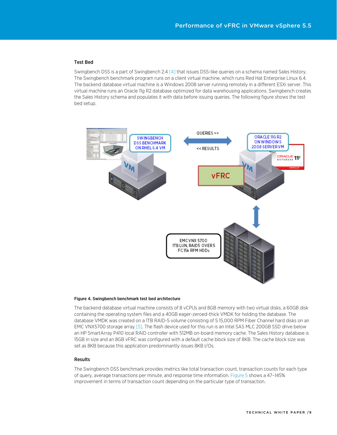#### Test Bed

Swingbench DSS is a part of Swingbench 2.[4 \[4\]](#page-16-0) that issues DSS-like queries on a schema named Sales History. The Swingbench benchmark program runs on a client virtual machine, which runs Red Hat Enterprise Linux 6.4. The backend database virtual machine is a Windows 2008 server running remotely in a different ESXi server. This virtual machine runs an Oracle 11g R2 database optimized for data warehousing applications. Swingbench creates the Sales History schema and populates it with data before issuing queries. The following figure shows the test bed setup.



#### Figure 4. Swingbench benchmark test bed architecture

The backend database virtual machine consists of 8 vCPUs and 8GB memory with two virtual disks, a 60GB disk containing the operating system files and a 40GB eager-zeroed-thick VMDK for holding the database. The database VMDK was created on a 1TB RAID-5 volume consisting of 5 15,000 RPM Fiber Channel hard disks on an EMC VNX5700 storage array [\[5\].](#page-16-0) The flash device used for this run is an Intel SAS MLC 200GB SSD drive below an HP SmartArray P410 local RAID controller with 512MB on-board memory cache. The Sales History database is 15GB in size and an 8GB vFRC was configured with a default cache block size of 8KB. The cache block size was set as 8KB because this application predominantly issues 8KB I/Os.

#### Results

The Swingbench DSS benchmark provides metrics like total transaction count, transaction counts for each type of query, average transactions per minute, and response time information. [Figure 5](#page-9-0) shows a 47–145% improvement in terms of transaction count depending on the particular type of transaction.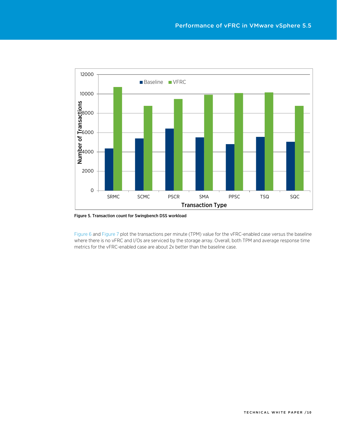<span id="page-9-0"></span>

Figure 5. Transaction count for Swingbench DSS workload

[Figure 6](#page-10-0) an[d Figure 7](#page-11-0) plot the transactions per minute (TPM) value for the vFRC-enabled case versus the baseline where there is no vFRC and I/Os are serviced by the storage array. Overall, both TPM and average response time metrics for the vFRC-enabled case are about 2x better than the baseline case.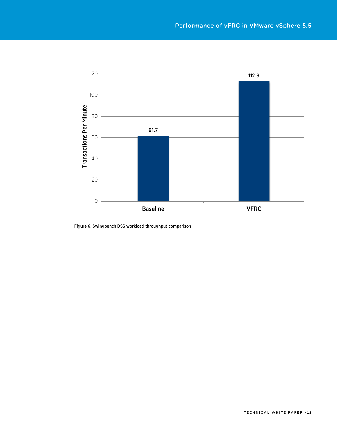<span id="page-10-0"></span>

Figure 6. Swingbench DSS workload throughput comparison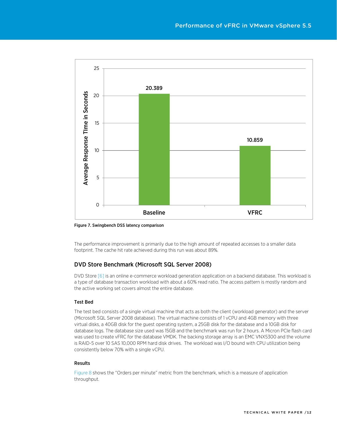<span id="page-11-0"></span>

Figure 7. Swingbench DSS latency comparison

The performance improvement is primarily due to the high amount of repeated accesses to a smaller data footprint. The cache hit rate achieved during this run was about 89%.

### DVD Store Benchmark (Microsoft SQL Server 2008)

DVD Stor[e \[6\]](#page-16-0) is an online e-commerce workload generation application on a backend database. This workload is a type of database transaction workload with about a 60% read ratio. The access pattern is mostly random and the active working set covers almost the entire database.

#### Test Bed

The test bed consists of a single virtual machine that acts as both the client (workload generator) and the server (Microsoft SQL Server 2008 database). The virtual machine consists of 1 vCPU and 4GB memory with three virtual disks, a 40GB disk for the guest operating system, a 25GB disk for the database and a 10GB disk for database logs. The database size used was 15GB and the benchmark was run for 2 hours. A Micron PCIe flash card was used to create vFRC for the database VMDK. The backing storage array is an EMC VNX5300 and the volume is RAID-5 over 10 SAS 10,000 RPM hard disk drives. The workload was I/O bound with CPU utilization being consistently below 70% with a single vCPU.

#### Results

[Figure 8](#page-12-0) shows the "Orders per minute" metric from the benchmark, which is a measure of application throughput.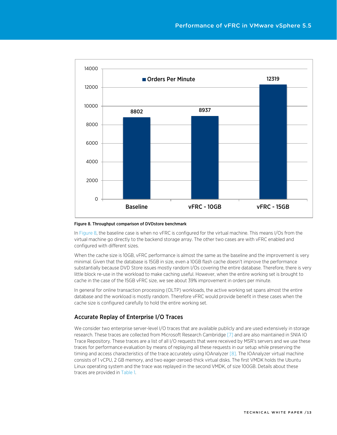<span id="page-12-0"></span>

#### Figure 8. Throughput comparison of DVDstore benchmark

In [Figure 8,](#page-12-0) the baseline case is when no vFRC is configured for the virtual machine. This means I/Os from the virtual machine go directly to the backend storage array. The other two cases are with vFRC enabled and configured with different sizes.

When the cache size is 10GB, vFRC performance is almost the same as the baseline and the improvement is very minimal. Given that the database is 15GB in size, even a 10GB flash cache doesn't improve the performance substantially because DVD Store issues mostly random I/Os covering the entire database. Therefore, there is very little block re-use in the workload to make caching useful. However, when the entire working set is brought to cache in the case of the 15GB vFRC size, we see about 39% improvement in orders per minute.

In general for online transaction processing (OLTP) workloads, the active working set spans almost the entire database and the workload is mostly random. Therefore vFRC would provide benefit in these cases when the cache size is configured carefully to hold the entire working set.

### Accurate Replay of Enterprise I/O Traces

We consider two enterprise server-level I/O traces that are available publicly and are used extensively in storage research. These traces are collected from Microsoft Research Cambridge [\[7\]](#page-16-0) and are also maintained in SNIA IO Trace Repository. These traces are a list of all I/O requests that were received by MSR's servers and we use these traces for performance evaluation by means of replaying all these requests in our setup while preserving the timing and access characteristics of the trace accurately using IOAnalyze[r \[8\].](#page-16-0) The IOAnalyzer virtual machine consists of 1 vCPU, 2 GB memory, and two eager-zeroed-thick virtual disks. The first VMDK holds the Ubuntu Linux operating system and the trace was replayed in the second VMDK, of size 100GB. Details about these traces are provided in [Table 1.](#page-13-0)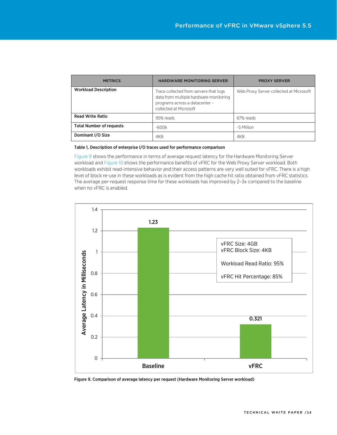<span id="page-13-1"></span><span id="page-13-0"></span>

| <b>METRICS</b>                  | <b>HARDWARE MONITORING SERVER</b>                                                                                                            | <b>PROXY SERVER</b>                     |
|---------------------------------|----------------------------------------------------------------------------------------------------------------------------------------------|-----------------------------------------|
| <b>Workload Description</b>     | Trace collected from servers that logs<br>data from multiple hardware monitoring<br>programs across a datacenter -<br>collected at Microsoft | Web Proxy Server collected at Microsoft |
| <b>Read Write Ratio</b>         | 95% reads                                                                                                                                    | 67% reads                               |
| <b>Total Number of requests</b> | $-600k$                                                                                                                                      | ~5 Million                              |
| Dominant I/O Size               | 4KB                                                                                                                                          | 4KB                                     |

#### Table 1, Description of enterprise I/O traces used for performance comparison

[Figure 9](#page-13-1) shows the performance in terms of average request latency for the Hardware Monitoring Server workload an[d Figure 10](#page-14-1) shows the performance benefits of vFRC for the Web Proxy Server workload. Both workloads exhibit read-intensive behavior and their access patterns are very well suited for vFRC. There is a high level of block re-use in these workloads as is evident from the high cache hit ratio obtained from vFRC statistics. The average per-request response time for these workloads has improved by 2–3x compared to the baseline when no vFRC is enabled.



Figure 9. Comparison of average latency per request (Hardware Monitoring Server workload)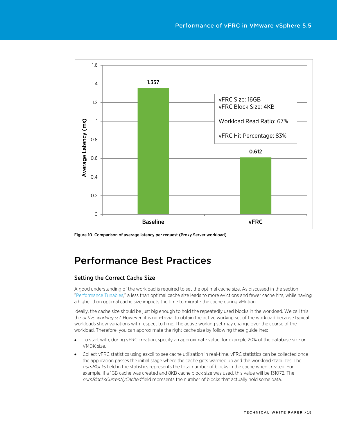<span id="page-14-1"></span>

Figure 10. Comparison of average latency per request (Proxy Server workload)

# <span id="page-14-0"></span>Performance Best Practices

### Setting the Correct Cache Size

A good understanding of the workload is required to set the optimal cache size. As discussed in the section ["Performance Tunables,"](#page-4-0) a less than optimal cache size leads to more evictions and fewer cache hits, while having a higher than optimal cache size impacts the time to migrate the cache during vMotion.

Ideally, the cache size should be just big enough to hold the repeatedly used blocks in the workload. We call this the *active working set*. However, it is non-trivial to obtain the active working set of the workload because typical workloads show variations with respect to time. The active working set may change over the course of the workload. Therefore, you can approximate the right cache size by following these guidelines:

- To start with, during vFRC creation, specify an approximate value, for example 20% of the database size or VMDK size.
- Collect vFRC statistics using esxcli to see cache utilization in real-time. vFRC statistics can be collected once the application passes the initial stage where the cache gets warmed up and the workload stabilizes. The numBlocks field in the statistics represents the total number of blocks in the cache when created. For example, if a 1GB cache was created and 8KB cache block size was used, this value will be 131072. The numBlocksCurrentlyCached field represents the number of blocks that actually hold some data.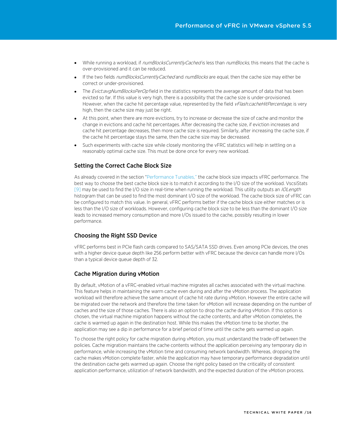- While running a workload, if numBlocksCurrentlyCached is less than numBlocks, this means that the cache is over-provisioned and it can be reduced.
- If the two fields numBlocksCurrentlyCached and numBlocks are equal, then the cache size may either be correct or under-provisioned.
- The Evict:avgNumBlocksPerOp field in the statistics represents the average amount of data that has been evicted so far. If this value is very high, there is a possibility that the cache size is under-provisioned. However, when the cache hit percentage value, represented by the field vFlash:cacheHitPercentage, is very high, then the cache size may just be right.
- At this point, when there are more evictions, try to increase or decrease the size of cache and monitor the change in evictions and cache hit percentages. After decreasing the cache size, if eviction increases and cache hit percentage decreases, then more cache size is required. Similarly, after increasing the cache size, if the cache hit percentage stays the same, then the cache size may be decreased.
- Such experiments with cache size while closely monitoring the vFRC statistics will help in settling on a reasonably optimal cache size. This must be done once for every new workload.

#### Setting the Correct Cache Block Size

As already covered in the section ["Performance Tunables,"](#page-4-0) the cache block size impacts vFRC performance. The best way to choose the best cache block size is to match it according to the I/O size of the workload. VscsiStats [\[9\]](#page-16-0) may be used to find the I/O size in real-time when running the workload. This utility outputs an *IOLength* histogram that can be used to find the most dominant I/O size of the workload. The cache block size of vFRC can be configured to match this value. In general, vFRC performs better if the cache block size either matches or is less than the I/O size of workloads. However, configuring cache block size to be less than the dominant I/O size leads to increased memory consumption and more I/Os issued to the cache, possibly resulting in lower performance.

### Choosing the Right SSD Device

vFRC performs best in PCIe flash cards compared to SAS/SATA SSD drives. Even among PCIe devices, the ones with a higher device queue depth like 256 perform better with vFRC because the device can handle more I/Os than a typical device queue depth of 32.

#### Cache Migration during vMotion

By default, vMotion of a vFRC-enabled virtual machine migrates all caches associated with the virtual machine. This feature helps in maintaining the warm cache even during and after the vMotion process. The application workload will therefore achieve the same amount of cache hit rate during vMotion. However the entire cache will be migrated over the network and therefore the time taken for vMotion will increase depending on the number of caches and the size of those caches. There is also an option to drop the cache during vMotion. If this option is chosen, the virtual machine migration happens without the cache contents, and after vMotion completes, the cache is warmed up again in the destination host. While this makes the vMotion time to be shorter, the application may see a dip in performance for a brief period of time until the cache gets warmed up again.

To choose the right policy for cache migration during vMotion, you must understand the trade-off between the policies. Cache migration maintains the cache contents without the application perceiving any temporary dip in performance, while increasing the vMotion time and consuming network bandwidth. Whereas, dropping the cache makes vMotion complete faster, while the application may have temporary performance degradation until the destination cache gets warmed up again. Choose the right policy based on the criticality of consistent application performance, utilization of network bandwidth, and the expected duration of the vMotion process.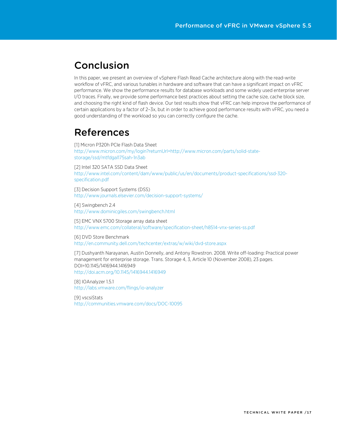# Conclusion

In this paper, we present an overview of vSphere Flash Read Cache architecture along with the read-write workflow of vFRC, and various tunables in hardware and software that can have a significant impact on vFRC performance. We show the performance results for database workloads and some widely used enterprise server I/O traces. Finally, we provide some performance best practices about setting the cache size, cache block size, and choosing the right kind of flash device. Our test results show that vFRC can help improve the performance of certain applications by a factor of 2–3x, but in order to achieve good performance results with vFRC, you need a good understanding of the workload so you can correctly configure the cache.

# <span id="page-16-0"></span>References

[1] Micron P320h PCIe Flash Data Sheet [http://www.micron.com/my/login?returnUrl=http://www.micron.com/parts/solid-state](http://www.micron.com/my/login?returnUrl=http://www.micron.com/parts/solid-state-storage/ssd/mtfdgal175sah-1n3ab)[storage/ssd/mtfdgal175sah-1n3ab](http://www.micron.com/my/login?returnUrl=http://www.micron.com/parts/solid-state-storage/ssd/mtfdgal175sah-1n3ab)

[2] Intel 320 SATA SSD Data Sheet [http://www.intel.com/content/dam/www/public/us/en/documents/product-specifications/ssd-320](http://www.intel.com/content/dam/www/public/us/en/documents/product-specifications/ssd-320-specification.pdf) [specification.pdf](http://www.intel.com/content/dam/www/public/us/en/documents/product-specifications/ssd-320-specification.pdf)

[3] Decision Support Systems (DSS) <http://www.journals.elsevier.com/decision-support-systems/>

[4] Swingbench 2.4 <http://www.dominicgiles.com/swingbench.html>

[5] EMC VNX 5700 Storage array data sheet <http://www.emc.com/collateral/software/specification-sheet/h8514-vnx-series-ss.pdf>

[6] DVD Store Benchmark <http://en.community.dell.com/techcenter/extras/w/wiki/dvd-store.aspx>

[7] Dushyanth Narayanan, Austin Donnelly, and Antony Rowstron. 2008. Write off-loading: Practical power management for enterprise storage. Trans. Storage 4, 3, Article 10 (November 2008), 23 pages. DOI=10.1145/1416944.1416949 <http://doi.acm.org/10.1145/1416944.1416949>

[8] IOAnalyzer 1.5.1 <http://labs.vmware.com/flings/io-analyzer>

[9] vscsiStats <http://communities.vmware.com/docs/DOC-10095>